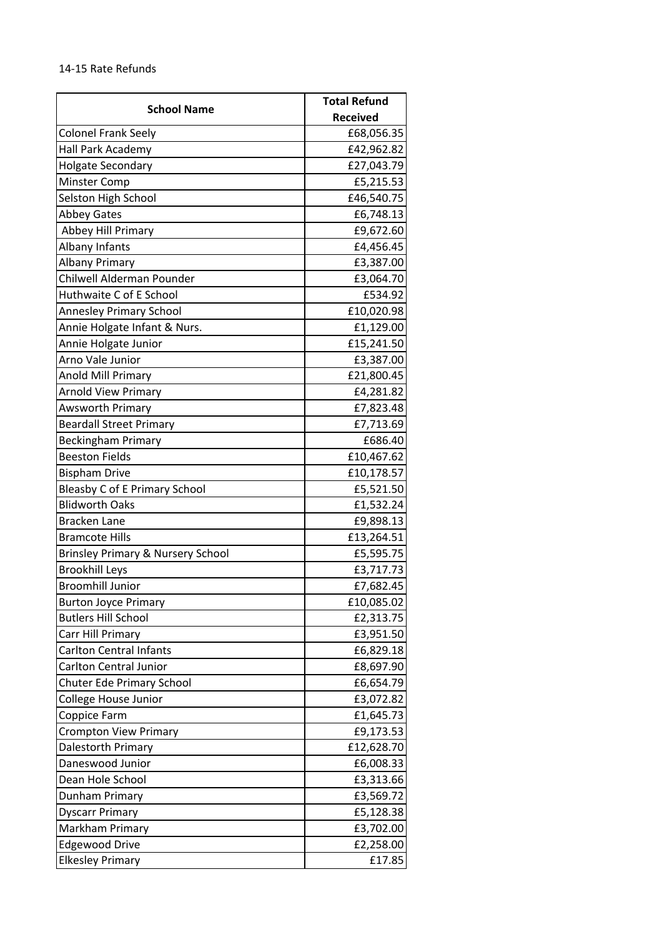## 14-15 Rate Refunds

| <b>School Name</b>                   | <b>Total Refund</b> |
|--------------------------------------|---------------------|
|                                      | <b>Received</b>     |
| <b>Colonel Frank Seely</b>           | £68,056.35          |
| Hall Park Academy                    | £42,962.82          |
| <b>Holgate Secondary</b>             | £27,043.79          |
| <b>Minster Comp</b>                  | £5,215.53           |
| Selston High School                  | £46,540.75          |
| <b>Abbey Gates</b>                   | £6,748.13           |
| Abbey Hill Primary                   | £9,672.60           |
| Albany Infants                       | £4,456.45           |
| <b>Albany Primary</b>                | £3,387.00           |
| Chilwell Alderman Pounder            | £3,064.70           |
| Huthwaite C of E School              | £534.92             |
| <b>Annesley Primary School</b>       | £10,020.98          |
| Annie Holgate Infant & Nurs.         | £1,129.00           |
| Annie Holgate Junior                 | £15,241.50          |
| Arno Vale Junior                     | £3,387.00           |
| Anold Mill Primary                   | £21,800.45          |
| <b>Arnold View Primary</b>           | £4,281.82           |
| Awsworth Primary                     | £7,823.48           |
| <b>Beardall Street Primary</b>       | £7,713.69           |
| <b>Beckingham Primary</b>            | £686.40             |
| <b>Beeston Fields</b>                | £10,467.62          |
| <b>Bispham Drive</b>                 | £10,178.57          |
| <b>Bleasby C of E Primary School</b> | £5,521.50           |
| <b>Blidworth Oaks</b>                | £1,532.24           |
| <b>Bracken Lane</b>                  | £9,898.13           |
| <b>Bramcote Hills</b>                | £13,264.51          |
| Brinsley Primary & Nursery School    | £5,595.75           |
| <b>Brookhill Leys</b>                | £3,717.73           |
| <b>Broomhill Junior</b>              | £7,682.45           |
| <b>Burton Joyce Primary</b>          | £10,085.02          |
| <b>Butlers Hill School</b>           | £2,313.75           |
| Carr Hill Primary                    | £3,951.50           |
| <b>Carlton Central Infants</b>       | £6,829.18           |
| Carlton Central Junior               | £8,697.90           |
| <b>Chuter Ede Primary School</b>     | £6,654.79           |
| College House Junior                 | £3,072.82           |
| <b>Coppice Farm</b>                  | £1,645.73           |
| <b>Crompton View Primary</b>         | £9,173.53           |
| Dalestorth Primary                   | £12,628.70          |
| Daneswood Junior                     | £6,008.33           |
| Dean Hole School                     | £3,313.66           |
| Dunham Primary                       | £3,569.72           |
| <b>Dyscarr Primary</b>               | £5,128.38           |
| Markham Primary                      | £3,702.00           |
| <b>Edgewood Drive</b>                | £2,258.00           |
| <b>Elkesley Primary</b>              | £17.85              |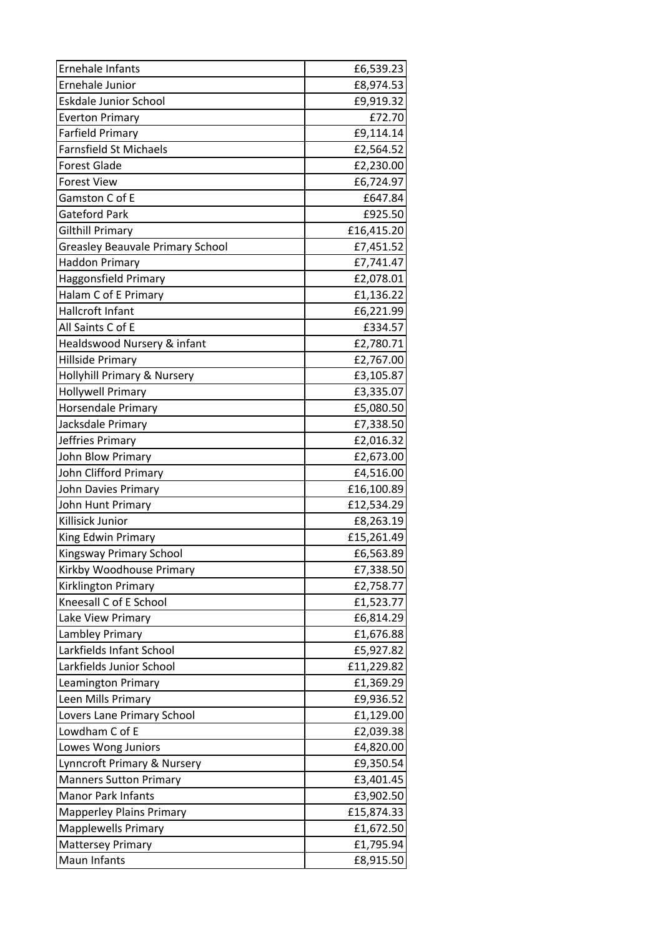| <b>Ernehale Infants</b>                 | £6,539.23  |
|-----------------------------------------|------------|
| Ernehale Junior                         | £8,974.53  |
| <b>Eskdale Junior School</b>            | £9,919.32  |
| <b>Everton Primary</b>                  | £72.70     |
| <b>Farfield Primary</b>                 | £9,114.14  |
| <b>Farnsfield St Michaels</b>           | £2,564.52  |
| <b>Forest Glade</b>                     | £2,230.00  |
| <b>Forest View</b>                      | £6,724.97  |
| Gamston C of E                          | £647.84    |
| Gateford Park                           | £925.50    |
| Gilthill Primary                        | £16,415.20 |
| <b>Greasley Beauvale Primary School</b> | £7,451.52  |
| <b>Haddon Primary</b>                   | £7,741.47  |
| <b>Haggonsfield Primary</b>             | £2,078.01  |
| Halam C of E Primary                    | £1,136.22  |
| Hallcroft Infant                        | £6,221.99  |
| All Saints C of E                       | £334.57    |
| Healdswood Nursery & infant             | £2,780.71  |
| <b>Hillside Primary</b>                 | £2,767.00  |
| Hollyhill Primary & Nursery             | £3,105.87  |
| <b>Hollywell Primary</b>                | £3,335.07  |
| Horsendale Primary                      | £5,080.50  |
| Jacksdale Primary                       | £7,338.50  |
| Jeffries Primary                        | £2,016.32  |
| John Blow Primary                       | £2,673.00  |
| John Clifford Primary                   | £4,516.00  |
| John Davies Primary                     | £16,100.89 |
| John Hunt Primary                       | £12,534.29 |
| Killisick Junior                        | £8,263.19  |
| King Edwin Primary                      | £15,261.49 |
| Kingsway Primary School                 | £6,563.89  |
| Kirkby Woodhouse Primary                | £7,338.50  |
| Kirklington Primary                     | £2,758.77  |
| Kneesall C of E School                  | £1,523.77  |
| Lake View Primary                       | £6,814.29  |
| Lambley Primary                         | £1,676.88  |
| Larkfields Infant School                | £5,927.82  |
| Larkfields Junior School                | £11,229.82 |
| Leamington Primary                      | £1,369.29  |
| Leen Mills Primary                      | £9,936.52  |
| Lovers Lane Primary School              | £1,129.00  |
| Lowdham C of E                          | £2,039.38  |
| Lowes Wong Juniors                      | £4,820.00  |
| Lynncroft Primary & Nursery             | £9,350.54  |
| <b>Manners Sutton Primary</b>           | £3,401.45  |
| <b>Manor Park Infants</b>               | £3,902.50  |
| <b>Mapperley Plains Primary</b>         | £15,874.33 |
| <b>Mapplewells Primary</b>              | £1,672.50  |
| <b>Mattersey Primary</b>                | £1,795.94  |
| Maun Infants                            | £8,915.50  |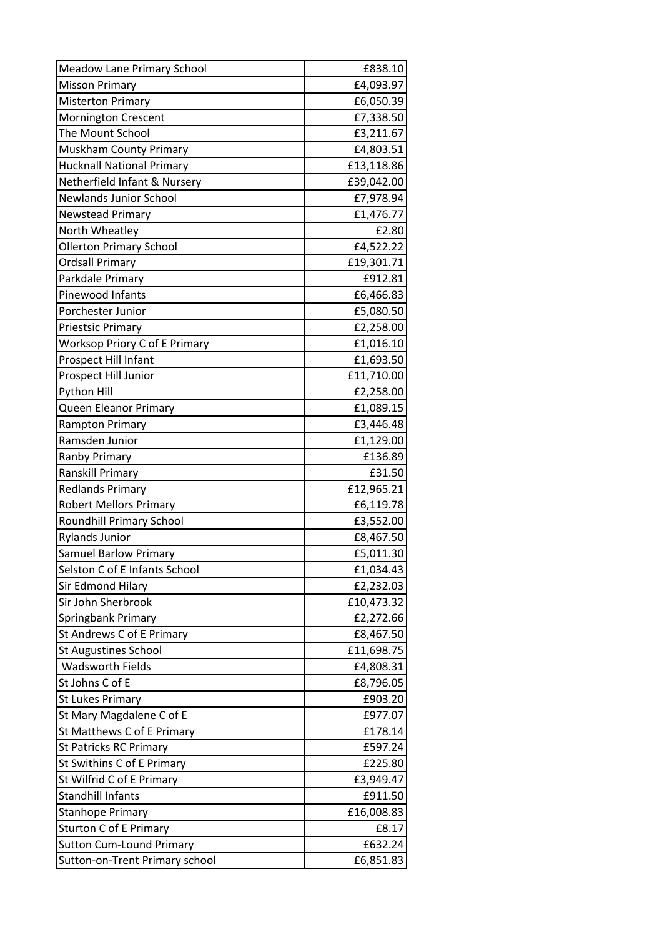| <b>Meadow Lane Primary School</b> | £838.10    |
|-----------------------------------|------------|
| <b>Misson Primary</b>             | £4,093.97  |
| <b>Misterton Primary</b>          | £6,050.39  |
| Mornington Crescent               | £7,338.50  |
| The Mount School                  | £3,211.67  |
| Muskham County Primary            | £4,803.51  |
| <b>Hucknall National Primary</b>  | £13,118.86 |
| Netherfield Infant & Nursery      | £39,042.00 |
| <b>Newlands Junior School</b>     | £7,978.94  |
| <b>Newstead Primary</b>           | £1,476.77  |
| North Wheatley                    | £2.80      |
| <b>Ollerton Primary School</b>    | £4,522.22  |
| <b>Ordsall Primary</b>            | £19,301.71 |
| Parkdale Primary                  | £912.81    |
| Pinewood Infants                  | £6,466.83  |
| Porchester Junior                 | £5,080.50  |
| <b>Priestsic Primary</b>          | £2,258.00  |
| Worksop Priory C of E Primary     | £1,016.10  |
| Prospect Hill Infant              | £1,693.50  |
| Prospect Hill Junior              | £11,710.00 |
| Python Hill                       | £2,258.00  |
| Queen Eleanor Primary             | £1,089.15  |
| Rampton Primary                   | £3,446.48  |
| Ramsden Junior                    | £1,129.00  |
| <b>Ranby Primary</b>              | £136.89    |
| <b>Ranskill Primary</b>           | £31.50     |
| <b>Redlands Primary</b>           | £12,965.21 |
| <b>Robert Mellors Primary</b>     | £6,119.78  |
| <b>Roundhill Primary School</b>   | £3,552.00  |
| <b>Rylands Junior</b>             | £8,467.50  |
| <b>Samuel Barlow Primary</b>      | £5,011.30  |
| Selston C of E Infants School     | £1,034.43  |
| Sir Edmond Hilary                 | £2,232.03  |
| Sir John Sherbrook                | £10,473.32 |
| Springbank Primary                | £2,272.66  |
| St Andrews C of E Primary         | £8,467.50  |
| <b>St Augustines School</b>       | £11,698.75 |
| <b>Wadsworth Fields</b>           | £4,808.31  |
| St Johns C of E                   | £8,796.05  |
| <b>St Lukes Primary</b>           | £903.20    |
| St Mary Magdalene C of E          | £977.07    |
| St Matthews C of E Primary        | £178.14    |
| <b>St Patricks RC Primary</b>     | £597.24    |
| St Swithins C of E Primary        | £225.80    |
| St Wilfrid C of E Primary         | £3,949.47  |
| <b>Standhill Infants</b>          | £911.50    |
| <b>Stanhope Primary</b>           | £16,008.83 |
| <b>Sturton C of E Primary</b>     | £8.17      |
| <b>Sutton Cum-Lound Primary</b>   | £632.24    |
| Sutton-on-Trent Primary school    | £6,851.83  |